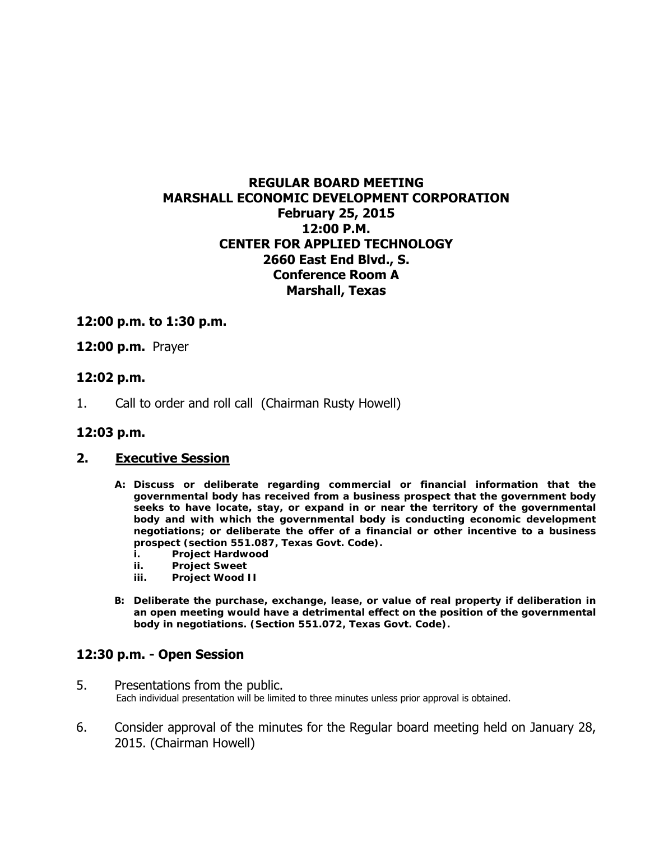# **REGULAR BOARD MEETING MARSHALL ECONOMIC DEVELOPMENT CORPORATION February 25, 2015 12:00 P.M. CENTER FOR APPLIED TECHNOLOGY 2660 East End Blvd., S. Conference Room A Marshall, Texas**

## **12:00 p.m. to 1:30 p.m.**

**12:00 p.m.** Prayer

### **12:02 p.m.**

1. Call to order and roll call (Chairman Rusty Howell)

#### **12:03 p.m.**

#### **2. Executive Session**

- **A: Discuss or deliberate regarding commercial or financial information that the governmental body has received from a business prospect that the government body seeks to have locate, stay, or expand in or near the territory of the governmental body and with which the governmental body is conducting economic development negotiations; or deliberate the offer of a financial or other incentive to a business prospect (section 551.087, Texas Govt. Code).** 
	- **i. Project Hardwood**
	- **ii. Project Sweet**
	- **iii. Project Wood II**
- **B: Deliberate the purchase, exchange, lease, or value of real property if deliberation in an open meeting would have a detrimental effect on the position of the governmental body in negotiations. (Section 551.072, Texas Govt. Code).**

#### **12:30 p.m. - Open Session**

- 5. Presentations from the public.<br>Each individual presentation will be limited to three minutes unless prior approval is obtained.
- 6. Consider approval of the minutes for the Regular board meeting held on January 28, 2015. (Chairman Howell)